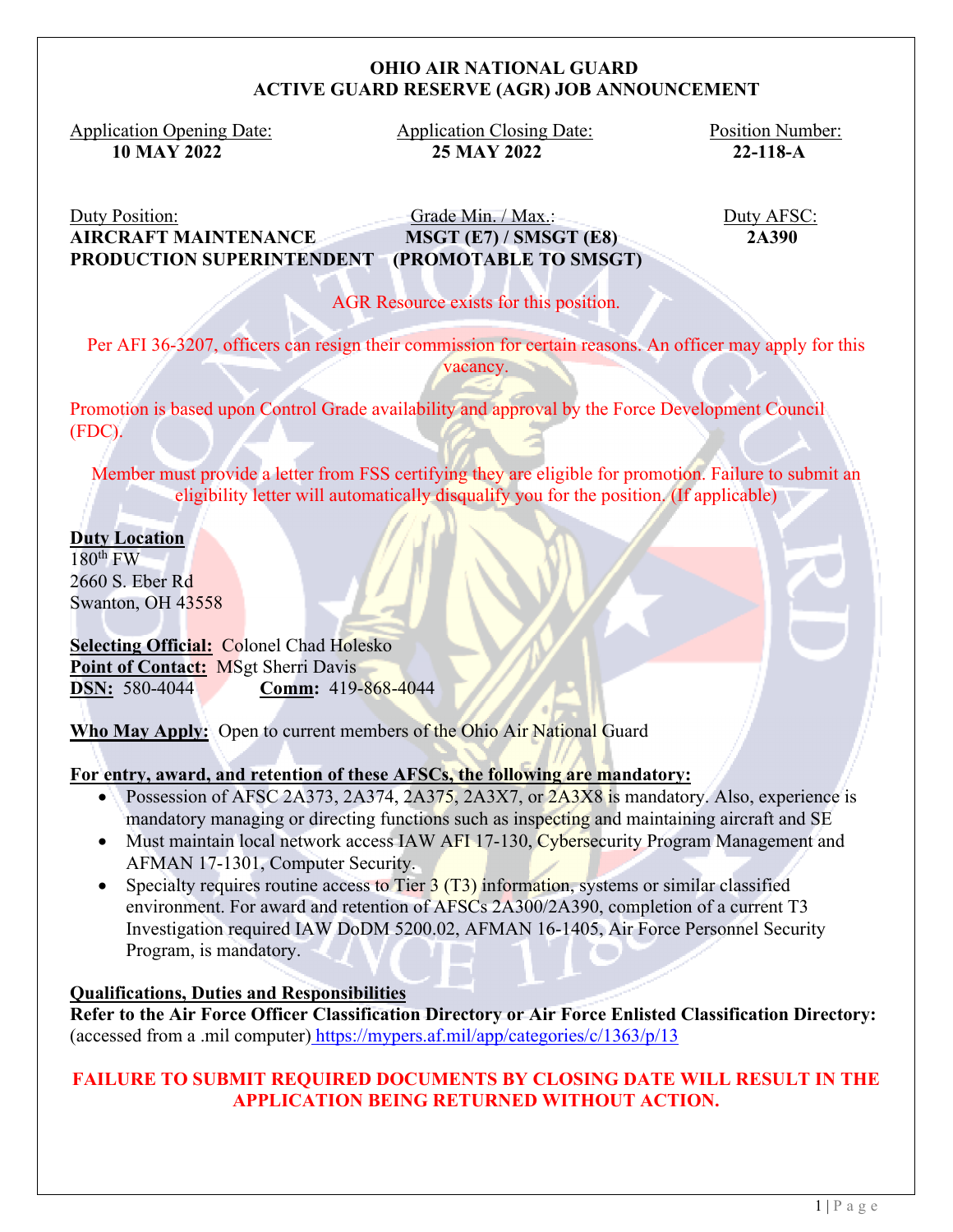### **OHIO AIR NATIONAL GUARD ACTIVE GUARD RESERVE (AGR) JOB ANNOUNCEMENT**

Application Opening Date: Application Closing Date: Position Number: 10 MAY 2022<br>2118-A

 **10 MAY 2022 25 MAY 2022 22-118-A**

Duty Position: Grade Min. / Max.: Duty AFSC: **AIRCRAFT MAINTENANCE MSGT (E7) / SMSGT (E8) 2A390 PRODUCTION SUPERINTENDENT (PROMOTABLE TO SMSGT)** 

AGR Resource exists for this position.

Per AFI 36-3207, officers can resign their commission for certain reasons. An officer may apply for this vacancy.

Promotion is based upon Control Grade availability and approval by the Force Development Council (FDC).

Member must provide a letter from FSS certifying they are eligible for promotion. Failure to submit an eligibility letter will automatically disqualify you for the position. (If applicable)

**Duty Location**  $180^{\text{th}}$  FW 2660 S. Eber Rd Swanton, OH 43558

**Selecting Official:** Colonel Chad Holesko Point of Contact: MSgt Sherri Davis **DSN:** 580-4044 **Comm:** 419-868-4044

**Who May Apply:** Open to current members of the Ohio Air National Guard

## **For entry, award, and retention of these AFSCs, the following are mandatory:**

- Possession of AFSC 2A373, 2A374, 2A375, 2A3X7, or 2A3X8 is mandatory. Also, experience is mandatory managing or directing functions such as inspecting and maintaining aircraft and SE
- Must maintain local network access IAW AFI 17-130, Cybersecurity Program Management and AFMAN 17-1301, Computer Security.
- Specialty requires routine access to Tier  $3(T3)$  information, systems or similar classified environment. For award and retention of AFSCs 2A300/2A390, completion of a current T3 Investigation required IAW DoDM 5200.02, AFMAN 16-1405, Air Force Personnel Security Program, is mandatory.

## **Qualifications, Duties and Responsibilities**

**Refer to the Air Force Officer Classification Directory or Air Force Enlisted Classification Directory:** (accessed from a .mil computer) https://mypers.af.mil/app/categories/c/1363/p/13

# **FAILURE TO SUBMIT REQUIRED DOCUMENTS BY CLOSING DATE WILL RESULT IN THE APPLICATION BEING RETURNED WITHOUT ACTION.**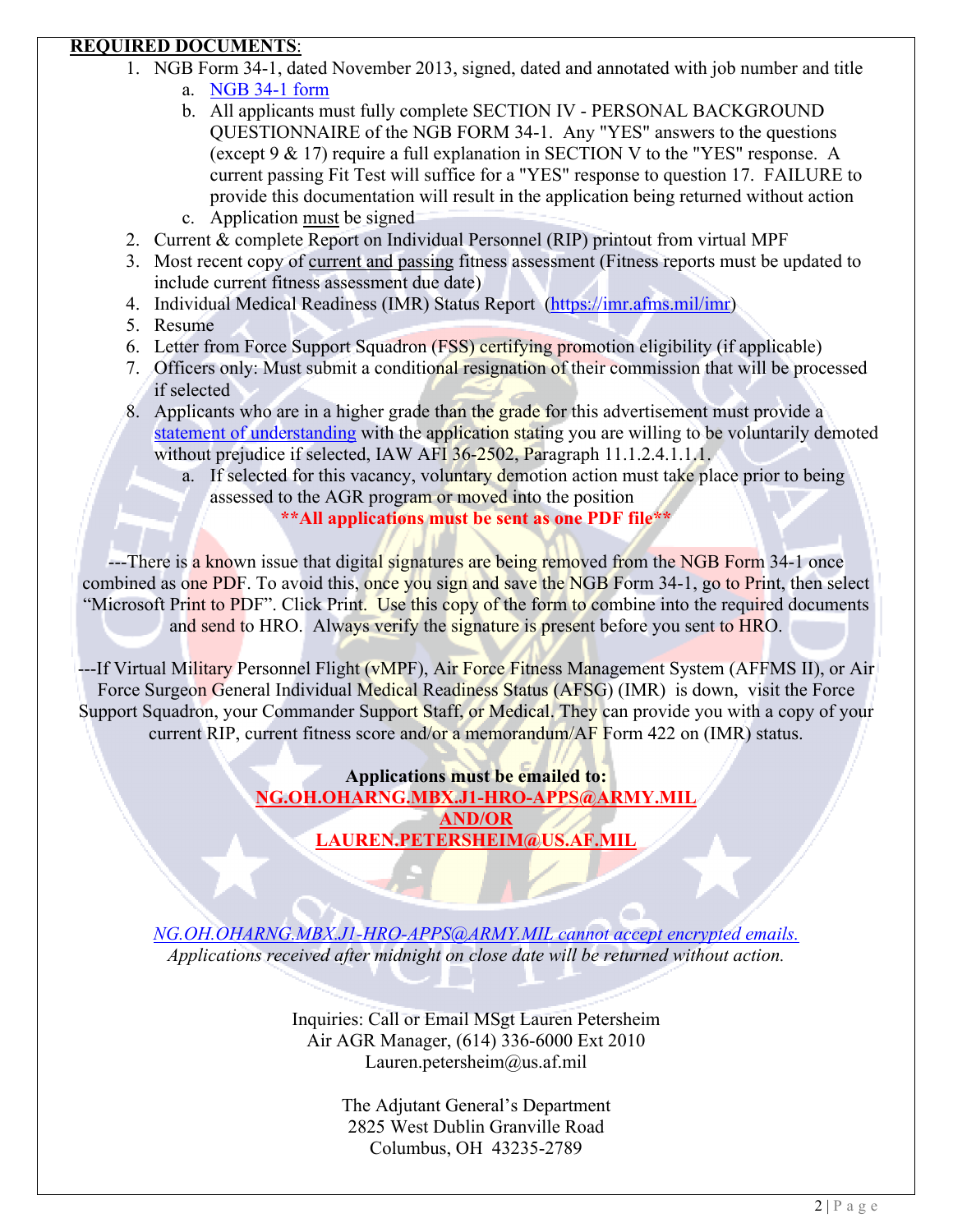# **REQUIRED DOCUMENTS**:

- 1. NGB Form 34-1, dated November 2013, signed, dated and annotated with job number and title
	- a. NGB 34-1 form
	- b. All applicants must fully complete SECTION IV PERSONAL BACKGROUND QUESTIONNAIRE of the NGB FORM 34-1. Any "YES" answers to the questions (except 9 & 17) require a full explanation in SECTION V to the "YES" response. A current passing Fit Test will suffice for a "YES" response to question 17. FAILURE to provide this documentation will result in the application being returned without action
	- c. Application must be signed
- 2. Current & complete Report on Individual Personnel (RIP) printout from virtual MPF
- 3. Most recent copy of current and passing fitness assessment (Fitness reports must be updated to include current fitness assessment due date)
- 4. Individual Medical Readiness (IMR) Status Report (https://imr.afms.mil/imr)
- 5. Resume
- 6. Letter from Force Support Squadron (FSS) certifying promotion eligibility (if applicable)
- 7. Officers only: Must submit a conditional resignation of their commission that will be processed if selected
- 8. Applicants who are in a higher grade than the grade for this advertisement must provide a statement of understanding with the application stating you are willing to be voluntarily demoted without prejudice if selected, IAW AFI 36-2502, Paragraph 11.1.2.4.1.1.1.
	- a. If selected for this vacancy, voluntary demotion action must take place prior to being assessed to the AGR program or moved into the position **\*\*All applications must be sent as one PDF file\*\***

---There is a known issue that digital signatures are being removed from the NGB Form 34-1 once combined as one PDF. To avoid this, once you sign and save the NGB Form 34-1, go to Print, then select "Microsoft Print to PDF". Click Print. Use this copy of the form to combine into the required documents and send to HRO. Always verify the signature is present before you sent to HRO.

---If Virtual Military Personnel Flight (vMPF), Air Force Fitness Management System (AFFMS II), or Air Force Surgeon General Individual Medical Readiness Status (AFSG) (IMR) is down, visit the Force Support Squadron, your Commander Support Staff, or Medical. They can provide you with a copy of your current RIP, current fitness score and/or a memorandum/AF Form 422 on (IMR) status.

> **Applications must be emailed to: NG.OH.OHARNG.MBX.J1-HRO-APPS@ARMY.MIL AND/OR LAUREN.PETERSHEIM@US.AF.MIL**

*NG.OH.OHARNG.MBX.J1-HRO-APPS@ARMY.MIL cannot accept encrypted emails. Applications received after midnight on close date will be returned without action.* 

> Inquiries: Call or Email MSgt Lauren Petersheim Air AGR Manager, (614) 336-6000 Ext 2010 Lauren.petersheim@us.af.mil

> > The Adjutant General's Department 2825 West Dublin Granville Road Columbus, OH 43235-2789